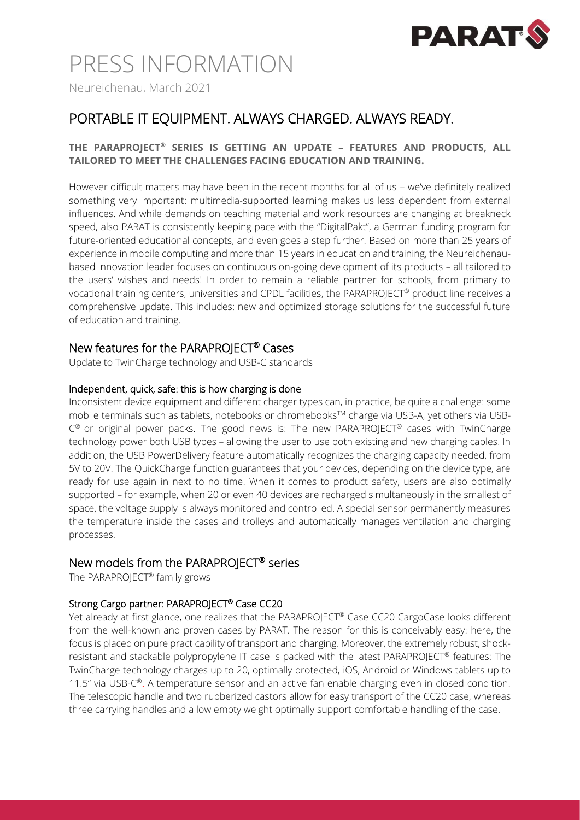

Neureichenau, March 2021

### PORTABLE IT EQUIPMENT. ALWAYS CHARGED. ALWAYS READY.

#### **THE PARAPROJECT® SERIES IS GETTING AN UPDATE – FEATURES AND PRODUCTS, ALL TAILORED TO MEET THE CHALLENGES FACING EDUCATION AND TRAINING.**

However difficult matters may have been in the recent months for all of us – we've definitely realized something very important: multimedia-supported learning makes us less dependent from external influences. And while demands on teaching material and work resources are changing at breakneck speed, also PARAT is consistently keeping pace with the "DigitalPakt", a German funding program for future-oriented educational concepts, and even goes a step further. Based on more than 25 years of experience in mobile computing and more than 15 years in education and training, the Neureichenaubased innovation leader focuses on continuous on-going development of its products – all tailored to the users' wishes and needs! In order to remain a reliable partner for schools, from primary to vocational training centers, universities and CPDL facilities, the PARAPROJECT® product line receives a comprehensive update. This includes: new and optimized storage solutions for the successful future of education and training.

### New features for the PARAPROJECT® Cases

Update to TwinCharge technology and USB-C standards

#### Independent, quick, safe: this is how charging is done

Inconsistent device equipment and different charger types can, in practice, be quite a challenge: some mobile terminals such as tablets, notebooks or chromebooks™ charge via USB-A, yet others via USB- $C^{\circ}$  or original power packs. The good news is: The new PARAPROJECT $^{\circ}$  cases with TwinCharge technology power both USB types – allowing the user to use both existing and new charging cables. In addition, the USB PowerDelivery feature automatically recognizes the charging capacity needed, from 5V to 20V. The QuickCharge function guarantees that your devices, depending on the device type, are ready for use again in next to no time. When it comes to product safety, users are also optimally supported – for example, when 20 or even 40 devices are recharged simultaneously in the smallest of space, the voltage supply is always monitored and controlled. A special sensor permanently measures the temperature inside the cases and trolleys and automatically manages ventilation and charging processes.

#### New models from the PARAPROJECT® series

The PARAPROJECT® family grows

#### Strong Cargo partner: PARAPROJECT® Case CC20

Yet already at first glance, one realizes that the PARAPROJECT® Case CC20 CargoCase looks different from the well-known and proven cases by PARAT. The reason for this is conceivably easy: here, the focus is placed on pure practicability of transport and charging. Moreover, the extremely robust, shockresistant and stackable polypropylene IT case is packed with the latest PARAPROJECT® features: The TwinCharge technology charges up to 20, optimally protected, iOS, Android or Windows tablets up to 11.5" via USB-C®. A temperature sensor and an active fan enable charging even in closed condition. The telescopic handle and two rubberized castors allow for easy transport of the CC20 case, whereas three carrying handles and a low empty weight optimally support comfortable handling of the case.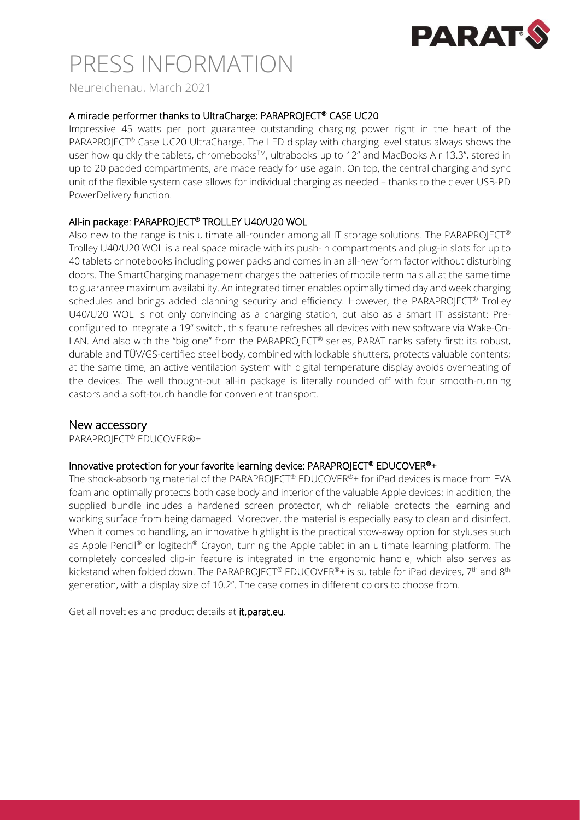

Neureichenau, March 2021

#### A miracle performer thanks to UltraCharge: PARAPROJECT® CASE UC20

Impressive 45 watts per port guarantee outstanding charging power right in the heart of the PARAPROJECT® Case UC20 UltraCharge. The LED display with charging level status always shows the user how quickly the tablets, chromebooks™, ultrabooks up to 12" and MacBooks Air 13.3", stored in up to 20 padded compartments, are made ready for use again. On top, the central charging and sync unit of the flexible system case allows for individual charging as needed – thanks to the clever USB-PD PowerDelivery function.

#### All-in package: PARAPROJECT® TROLLEY U40/U20 WOL

Also new to the range is this ultimate all-rounder among all IT storage solutions. The PARAPROJECT® Trolley U40/U20 WOL is a real space miracle with its push-in compartments and plug-in slots for up to 40 tablets or notebooks including power packs and comes in an all-new form factor without disturbing doors. The SmartCharging management charges the batteries of mobile terminals all at the same time to guarantee maximum availability. An integrated timer enables optimally timed day and week charging schedules and brings added planning security and efficiency. However, the PARAPROJECT® Trolley U40/U20 WOL is not only convincing as a charging station, but also as a smart IT assistant: Preconfigured to integrate a 19" switch, this feature refreshes all devices with new software via Wake-On-LAN. And also with the "big one" from the PARAPROJECT® series, PARAT ranks safety first: its robust, durable and TÜV/GS-certified steel body, combined with lockable shutters, protects valuable contents; at the same time, an active ventilation system with digital temperature display avoids overheating of the devices. The well thought-out all-in package is literally rounded off with four smooth-running castors and a soft-touch handle for convenient transport.

#### New accessory

PARAPROJECT® EDUCOVER®+

#### Innovative protection for your favorite learning device: PARAPROJECT® EDUCOVER®+

The shock-absorbing material of the PARAPROJECT® EDUCOVER®+ for iPad devices is made from EVA foam and optimally protects both case body and interior of the valuable Apple devices; in addition, the supplied bundle includes a hardened screen protector, which reliable protects the learning and working surface from being damaged. Moreover, the material is especially easy to clean and disinfect. When it comes to handling, an innovative highlight is the practical stow-away option for styluses such as Apple Pencil® or logitech® Crayon, turning the Apple tablet in an ultimate learning platform. The completely concealed clip-in feature is integrated in the ergonomic handle, which also serves as kickstand when folded down. The PARAPROJECT® EDUCOVER®+ is suitable for iPad devices, 7<sup>th</sup> and 8<sup>th</sup> generation, with a display size of 10.2". The case comes in different colors to choose from.

Get all novelties and product details at it.parat.eu.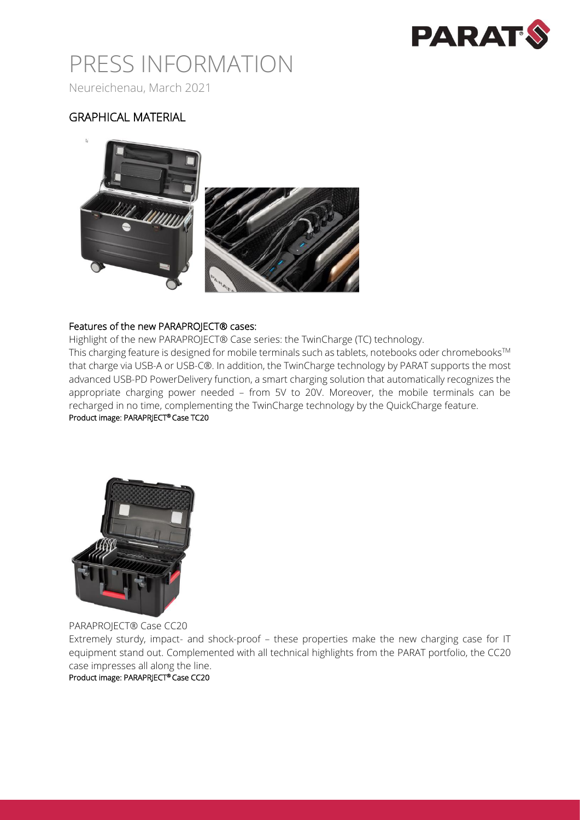

Neureichenau, March 2021

### GRAPHICAL MATERIAL



#### Features of the new PARAPROJECT® cases:

Highlight of the new PARAPROJECT® Case series: the TwinCharge (TC) technology. This charging feature is designed for mobile terminals such as tablets, notebooks oder chromebooks™ that charge via USB-A or USB-C®. In addition, the TwinCharge technology by PARAT supports the most advanced USB-PD PowerDelivery function, a smart charging solution that automatically recognizes the appropriate charging power needed – from 5V to 20V. Moreover, the mobile terminals can be recharged in no time, complementing the TwinCharge technology by the QuickCharge feature. Product image: PARAPRJECT® Case TC20



PARAPROJECT® Case CC20 Extremely sturdy, impact- and shock-proof – these properties make the new charging case for IT equipment stand out. Complemented with all technical highlights from the PARAT portfolio, the CC20 case impresses all along the line.

Product image: PARAPRJECT® Case CC20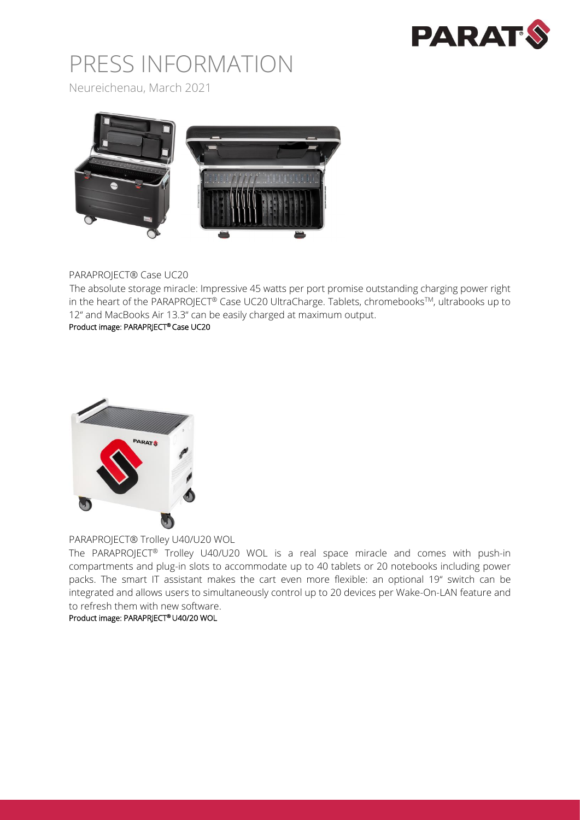

Neureichenau, March 2021



PARAPROJECT® Case UC20

The absolute storage miracle: Impressive 45 watts per port promise outstanding charging power right in the heart of the PARAPROJECT® Case UC20 UltraCharge. Tablets, chromebooks™, ultrabooks up to 12" and MacBooks Air 13.3" can be easily charged at maximum output.

Product image: PARAPRJECT® Case UC20



PARAPROJECT® Trolley U40/U20 WOL

The PARAPROJECT® Trolley U40/U20 WOL is a real space miracle and comes with push-in compartments and plug-in slots to accommodate up to 40 tablets or 20 notebooks including power packs. The smart IT assistant makes the cart even more flexible: an optional 19" switch can be integrated and allows users to simultaneously control up to 20 devices per Wake-On-LAN feature and to refresh them with new software.

Product image: PARAPRJECT® U40/20 WOL